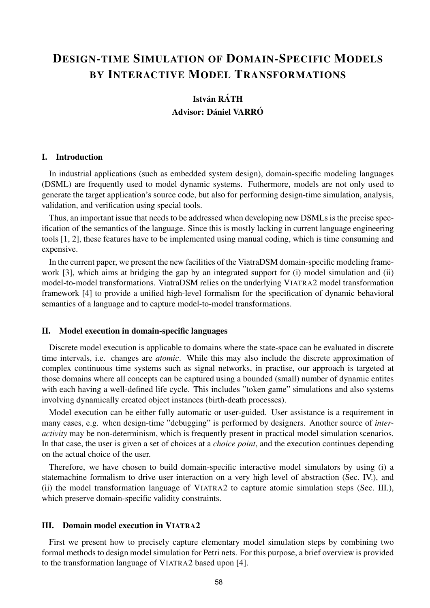# DESIGN-TIME SIMULATION OF DOMAIN-SPECIFIC MODELS BY INTERACTIVE MODEL TRANSFORMATIONS

# **István RÁTH** Advisor: Dániel VARRÓ

#### I. Introduction

In industrial applications (such as embedded system design), domain-specific modeling languages (DSML) are frequently used to model dynamic systems. Futhermore, models are not only used to generate the target application's source code, but also for performing design-time simulation, analysis, validation, and verification using special tools.

Thus, an important issue that needs to be addressed when developing new DSMLs is the precise specification of the semantics of the language. Since this is mostly lacking in current language engineering tools [1, 2], these features have to be implemented using manual coding, which is time consuming and expensive.

In the current paper, we present the new facilities of the ViatraDSM domain-specific modeling framework [3], which aims at bridging the gap by an integrated support for (i) model simulation and (ii) model-to-model transformations. ViatraDSM relies on the underlying VIATRA2 model transformation framework [4] to provide a unified high-level formalism for the specification of dynamic behavioral semantics of a language and to capture model-to-model transformations.

#### II. Model execution in domain-specific languages

Discrete model execution is applicable to domains where the state-space can be evaluated in discrete time intervals, i.e. changes are *atomic*. While this may also include the discrete approximation of complex continuous time systems such as signal networks, in practise, our approach is targeted at those domains where all concepts can be captured using a bounded (small) number of dynamic entites with each having a well-defined life cycle. This includes "token game" simulations and also systems involving dynamically created object instances (birth-death processes).

Model execution can be either fully automatic or user-guided. User assistance is a requirement in many cases, e.g. when design-time "debugging" is performed by designers. Another source of *interactivity* may be non-determinism, which is frequently present in practical model simulation scenarios. In that case, the user is given a set of choices at a *choice point*, and the execution continues depending on the actual choice of the user.

Therefore, we have chosen to build domain-specific interactive model simulators by using (i) a statemachine formalism to drive user interaction on a very high level of abstraction (Sec. IV.), and (ii) the model transformation language of VIATRA2 to capture atomic simulation steps (Sec. III.), which preserve domain-specific validity constraints.

### III. Domain model execution in VIATRA2

First we present how to precisely capture elementary model simulation steps by combining two formal methods to design model simulation for Petri nets. For this purpose, a brief overview is provided to the transformation language of VIATRA2 based upon [4].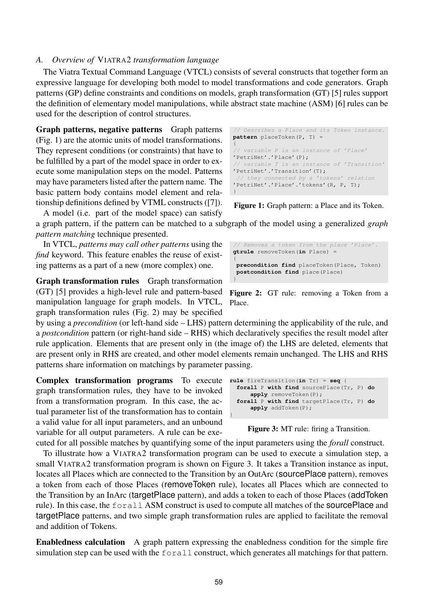## *A. Overview of* VIATRA2 *transformation language*

The Viatra Textual Command Language (VTCL) consists of several constructs that together form an expressive language for developing both model to model transformations and code generators. Graph patterns (GP) define constraints and conditions on models, graph transformation (GT) [5] rules support the definition of elementary model manipulations, while abstract state machine (ASM) [6] rules can be used for the description of control structures.

Graph patterns, negative patterns Graph patterns (Fig. 1) are the atomic units of model transformations. They represent conditions (or constraints) that have to be fulfilled by a part of the model space in order to execute some manipulation steps on the model. Patterns may have parameters listed after the pattern name. The basic pattern body contains model element and relationship definitions defined by VTML constructs ([7]).

A model (i.e. part of the model space) can satisfy

a graph pattern, if the pattern can be matched to a subgraph of the model using a generalized *graph pattern matching* technique presented.

In VTCL, *patterns may call other patterns* using the *find* keyword. This feature enables the reuse of existing patterns as a part of a new (more complex) one.

Graph transformation rules Graph transformation (GT) [5] provides a high-level rule and pattern-based manipulation language for graph models. In VTCL, graph transformation rules (Fig. 2) may be specified

by using a *precondition* (or left-hand side – LHS) pattern determining the applicability of the rule, and a *postcondition* pattern (or right-hand side – RHS) which declaratively specifies the result model after rule application. Elements that are present only in (the image of) the LHS are deleted, elements that are present only in RHS are created, and other model elements remain unchanged. The LHS and RHS patterns share information on matchings by parameter passing.

Complex transformation programs To execute rule fireTransition(in Tr) = seq { graph transformation rules, they have to be invoked from a transformation program. In this case, the actual parameter list of the transformation has to contain a valid value for all input parameters, and an unbound variable for all output parameters. A rule can be exe-

```
forall P with find sourcePlace(Tr, P) do
     apply removeToken(P);
 forall P with find targetPlace(Tr, P) do
      apply addToken(P);
}
```
Figure 3: MT rule: firing a Transition.

cuted for all possible matches by quantifying some of the input parameters using the *forall* construct. To illustrate how a VIATRA2 transformation program can be used to execute a simulation step, a small VIATRA2 transformation program is shown on Figure 3. It takes a Transition instance as input, locates all Places which are connected to the Transition by an OutArc (sourcePlace pattern), removes a token from each of those Places (removeToken rule), locates all Places which are connected to the Transition by an InArc (targetPlace pattern), and adds a token to each of those Places (addToken rule). In this case, the forall ASM construct is used to compute all matches of the sourcePlace and targetPlace patterns, and two simple graph transformation rules are applied to facilitate the removal and addition of Tokens.

Enabledness calculation A graph pattern expressing the enabledness condition for the simple fire simulation step can be used with the forall construct, which generates all matchings for that pattern.

**pattern** placeToken(P, T) = { // variable P is an instance of 'Place' 'PetriNet'.'Place'(P); // variable T is an instance of 'Transition' 'PetriNet'.'Transition'(T); // they connected by a 'tokens' relation 'PetriNet'.'Place'.'tokens'(R, P, T); }

// Describes a Place and its Token instance.

Figure 1: Graph pattern: a Place and its Token.

```
// Removes a token from the place 'Place'.
gtrule removeToken(in Place) =
{
 precondition find placeToken(Place, Token)
 postcondition find place(Place)
}
```
Figure 2: GT rule: removing a Token from a Place.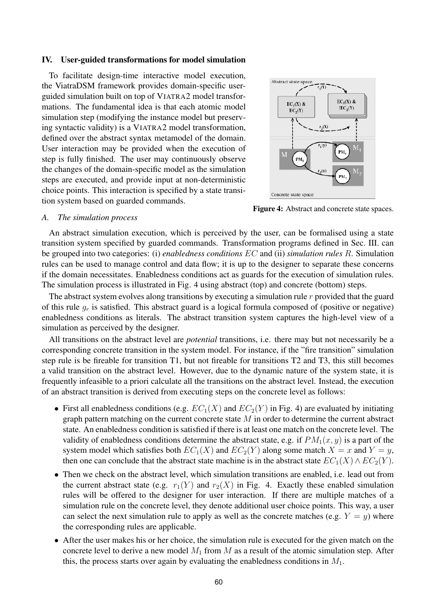#### IV. User-guided transformations for model simulation

To facilitate design-time interactive model execution, the ViatraDSM framework provides domain-specific userguided simulation built on top of VIATRA2 model transformations. The fundamental idea is that each atomic model simulation step (modifying the instance model but preserving syntactic validity) is a VIATRA2 model transformation, defined over the abstract syntax metamodel of the domain. User interaction may be provided when the execution of step is fully finished. The user may continuously observe the changes of the domain-specific model as the simulation steps are executed, and provide input at non-deterministic choice points. This interaction is specified by a state transition system based on guarded commands.



Figure 4: Abstract and concrete state spaces.

#### *A. The simulation process*

An abstract simulation execution, which is perceived by the user, can be formalised using a state transition system specified by guarded commands. Transformation programs defined in Sec. III. can be grouped into two categories: (i) *enabledness conditions* EC and (ii) *simulation rules* R. Simulation rules can be used to manage control and data flow; it is up to the designer to separate these concerns if the domain necessitates. Enabledness conditions act as guards for the execution of simulation rules. The simulation process is illustrated in Fig. 4 using abstract (top) and concrete (bottom) steps.

The abstract system evolves along transitions by executing a simulation rule  $r$  provided that the guard of this rule  $g_r$  is satisfied. This abstract guard is a logical formula composed of (positive or negative) enabledness conditions as literals. The abstract transition system captures the high-level view of a simulation as perceived by the designer.

All transitions on the abstract level are *potential* transitions, i.e. there may but not necessarily be a corresponding concrete transition in the system model. For instance, if the "fire transition" simulation step rule is be fireable for transition T1, but not fireable for transitions T2 and T3, this still becomes a valid transition on the abstract level. However, due to the dynamic nature of the system state, it is frequently infeasible to a priori calculate all the transitions on the abstract level. Instead, the execution of an abstract transition is derived from executing steps on the concrete level as follows:

- First all enabledness conditions (e.g.  $EC_1(X)$  and  $EC_2(Y)$  in Fig. 4) are evaluated by initiating graph pattern matching on the current concrete state  $M$  in order to determine the current abstract state. An enabledness condition is satisfied if there is at least one match on the concrete level. The validity of enabledness conditions determine the abstract state, e.g. if  $PM_1(x, y)$  is a part of the system model which satisfies both  $EC_1(X)$  and  $EC_2(Y)$  along some match  $X = x$  and  $Y = y$ , then one can conclude that the abstract state machine is in the abstract state  $EC_1(X) \wedge EC_2(Y)$ .
- Then we check on the abstract level, which simulation transitions are enabled, i.e. lead out from the current abstract state (e.g.  $r_1(Y)$  and  $r_2(X)$  in Fig. 4. Exactly these enabled simulation rules will be offered to the designer for user interaction. If there are multiple matches of a simulation rule on the concrete level, they denote additional user choice points. This way, a user can select the next simulation rule to apply as well as the concrete matches (e.g.  $Y = y$ ) where the corresponding rules are applicable.
- After the user makes his or her choice, the simulation rule is executed for the given match on the concrete level to derive a new model  $M_1$  from M as a result of the atomic simulation step. After this, the process starts over again by evaluating the enabledness conditions in  $M_1$ .